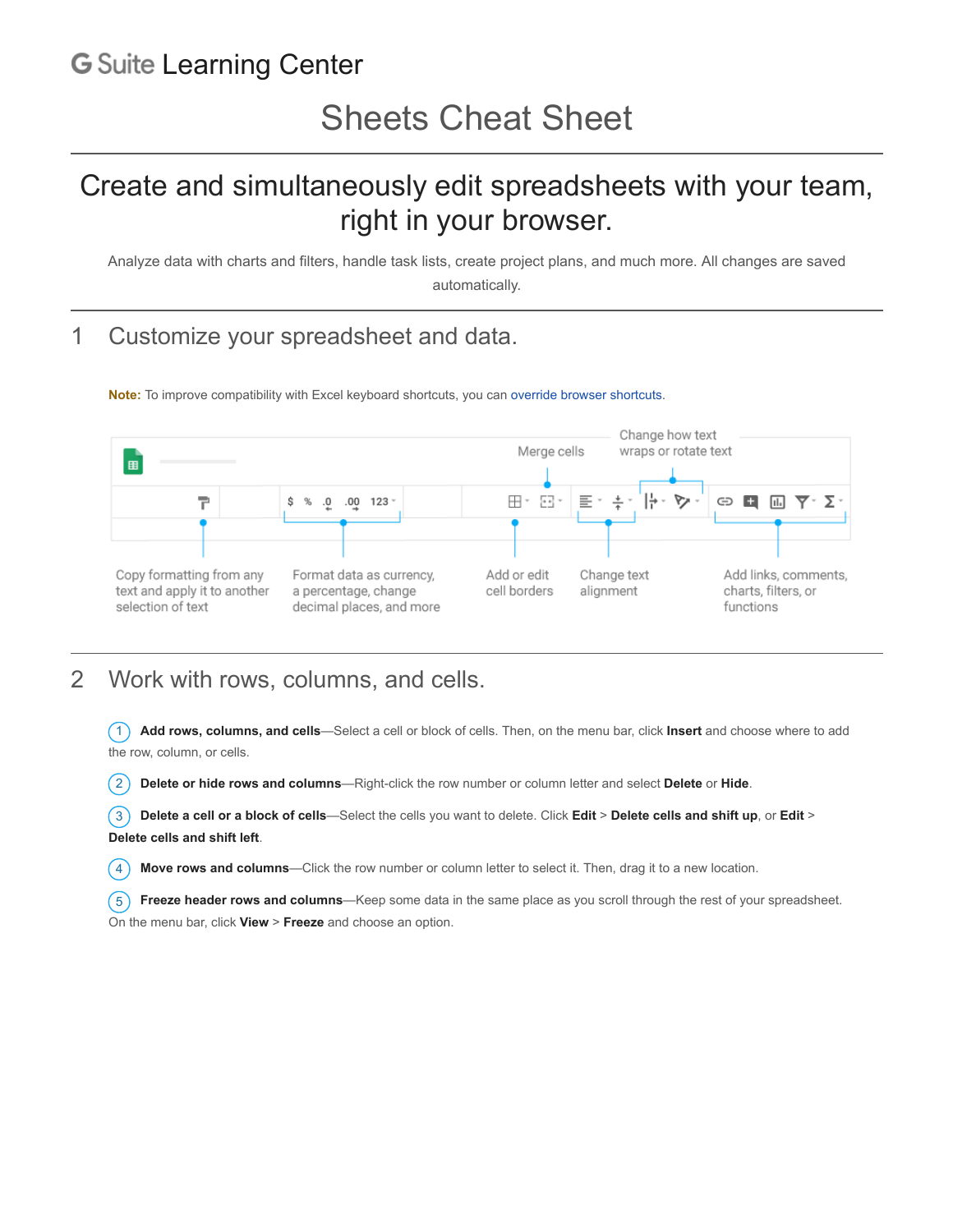## **G Suite [Learning Center](https://gsuite.google.com/learning-center/)**

# Create and simultaneously edit spreadsheets with your team, right in your browser.

Analyze data with charts and filters, handle task lists, create project plans, and much more. All changes are saved automatically.

## 1 Customize your spreadsheet and data.

**Note:** To improve compatibility with Excel keyboard shortcuts, you can [override browser shortcuts.](https://support.google.com/docs/answer/181110)



#### 2 Work with rows, columns, and cells.

1 **Add rows, columns, and cells**—Select a cell or block of cells. Then, on the menu bar, click **Insert** and choose where to add the row, column, or cells.

2 **Delete or hide rows and columns**—Right-click the row number or column letter and select **Delete** or **Hide**.

3 **Delete a cell or a block of cells**—Select the cells you want to delete. Click **Edit** > **Delete cells and shift up**, or **Edit** > **Delete cells and shift left**.

4 **Move rows and columns**—Click the row number or column letter to select it. Then, drag it to a new location.

5 **Freeze header rows and columns**—Keep some data in the same place as you scroll through the rest of your spreadsheet. On the menu bar, click **View** > **Freeze** and choose an option.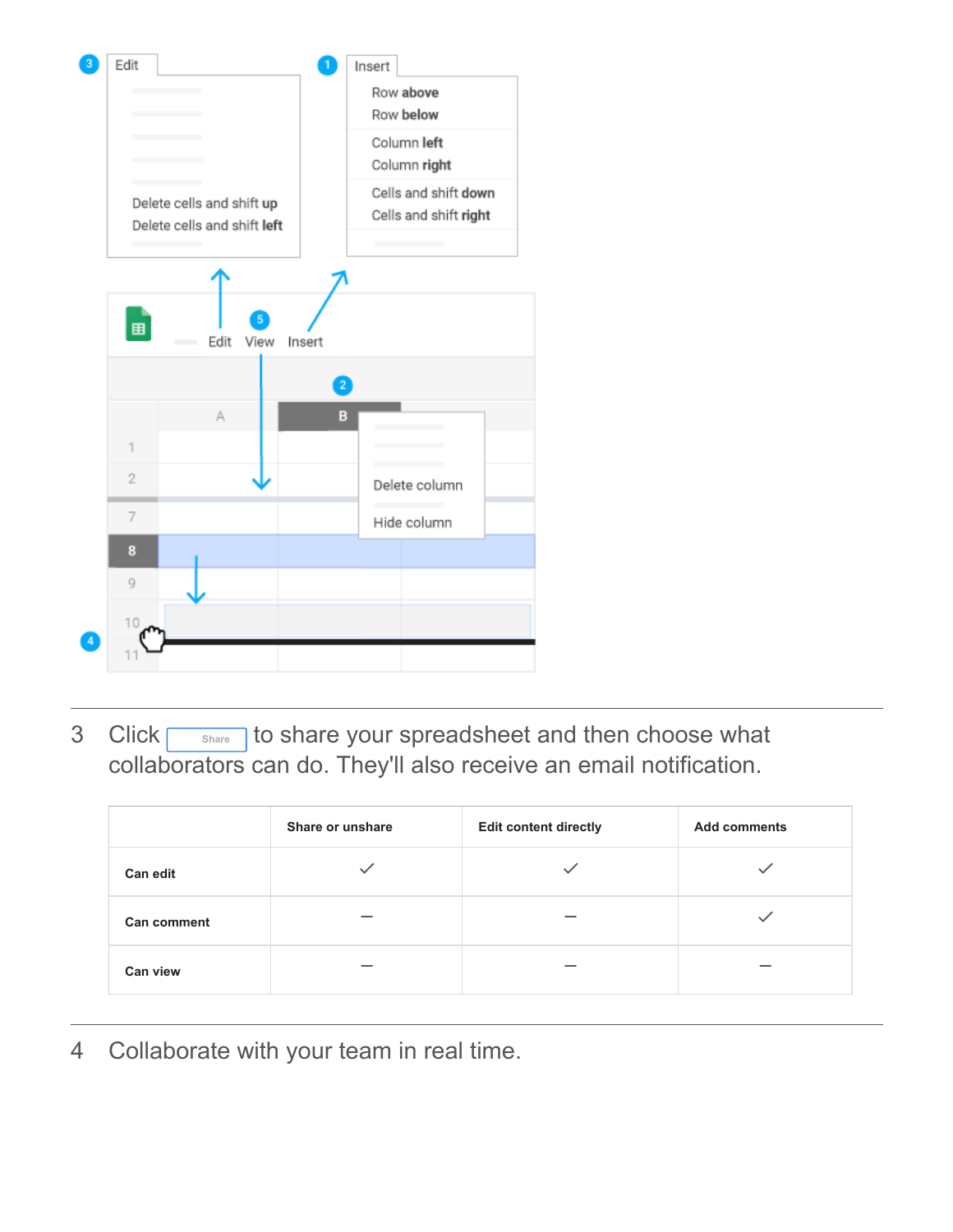

3 Click **Share** to share your spreadsheet and then choose what collaborators can do. They'll also receive an email notification.

|                    | Share or unshare | <b>Edit content directly</b> | <b>Add comments</b> |
|--------------------|------------------|------------------------------|---------------------|
| <b>Can edit</b>    |                  |                              |                     |
| <b>Can comment</b> |                  |                              |                     |
| <b>Can view</b>    |                  |                              |                     |

4 Collaborate with your team in real time.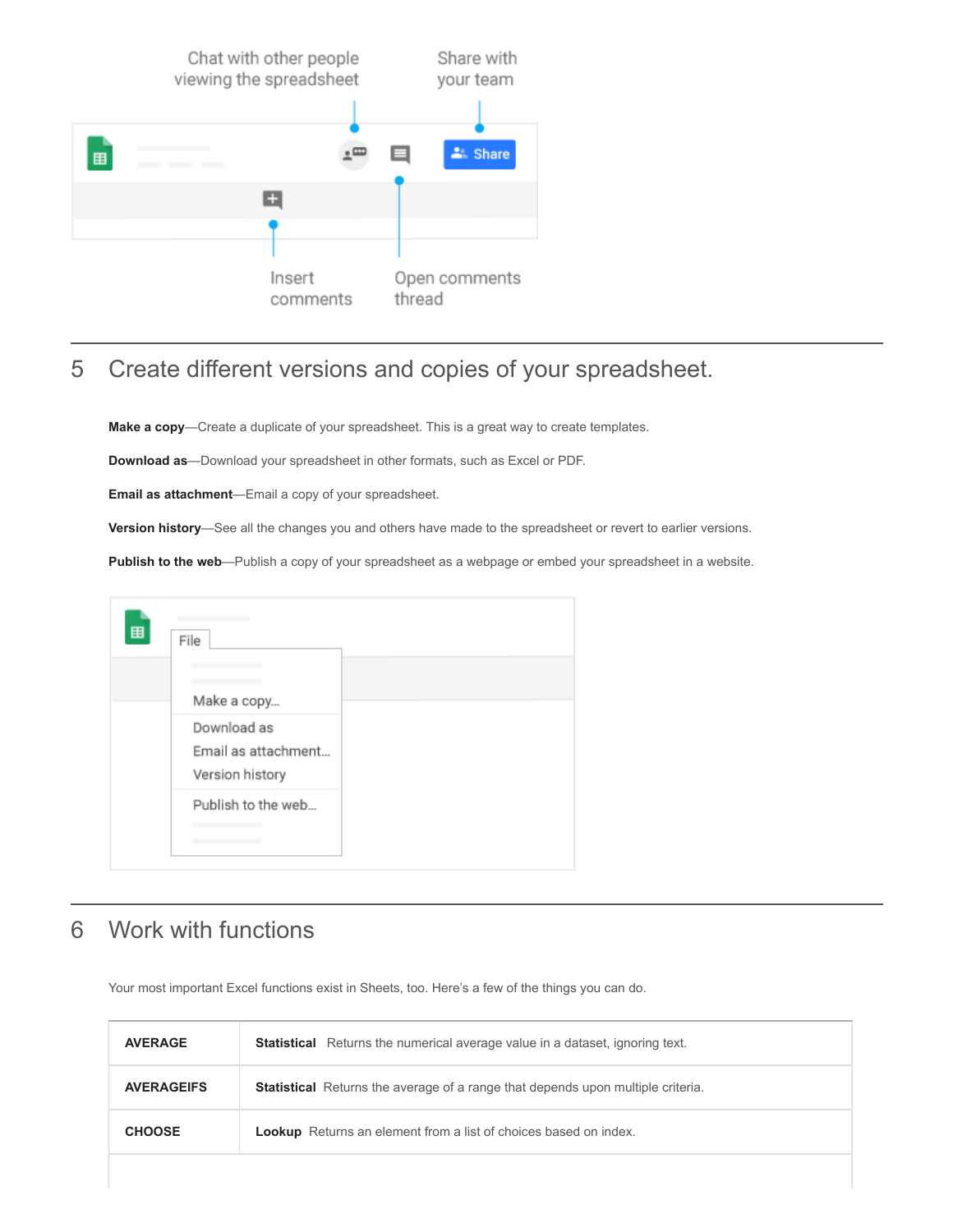

## 5 Create different versions and copies of your spreadsheet.

**Make a copy**—Create a duplicate of your spreadsheet. This is a great way to create templates.

**Download as**—Download your spreadsheet in other formats, such as Excel or PDF.

**Email as attachment**—Email a copy of your spreadsheet.

**Version history**—See all the changes you and others have made to the spreadsheet or revert to earlier versions.

**Publish to the web**—Publish a copy of your spreadsheet as a webpage or embed your spreadsheet in a website.



## 6 Work with functions

Your most important Excel functions exist in Sheets, too. Here's a few of the things you can do.

| <b>AVERAGE</b>    | <b>Statistical</b> Returns the numerical average value in a dataset, ignoring text.    |
|-------------------|----------------------------------------------------------------------------------------|
| <b>AVERAGEIFS</b> | <b>Statistical</b> Returns the average of a range that depends upon multiple criteria. |
| <b>CHOOSE</b>     | <b>Lookup</b> Returns an element from a list of choices based on index.                |
|                   |                                                                                        |